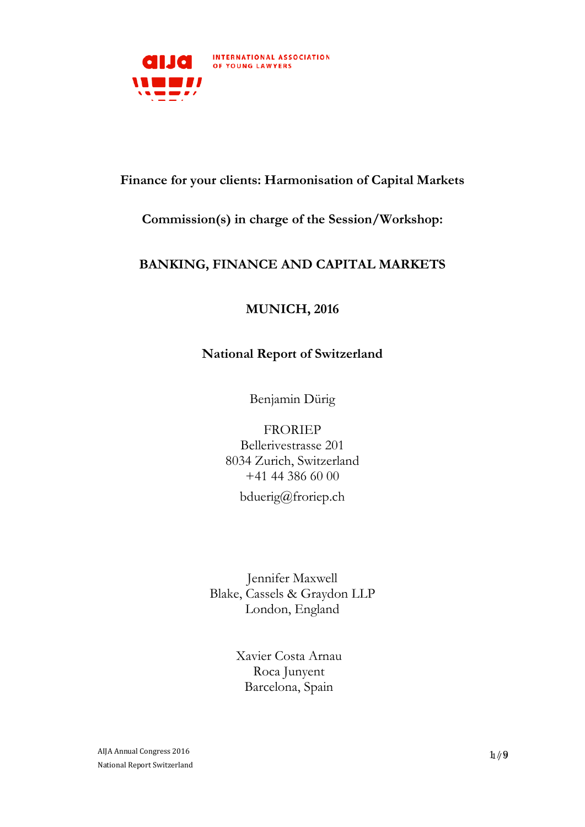

# **Finance for your clients: Harmonisation of Capital Markets**

## **Commission(s) in charge of the Session/Workshop:**

# **BANKING, FINANCE AND CAPITAL MARKETS**

# **MUNICH, 2016**

## **National Report of Switzerland**

Benjamin Dürig

## FRORIEP

Bellerivestrasse 201 8034 Zurich, Switzerland +41 44 386 60 00 bduerig@froriep.ch

Jennifer Maxwell Blake, Cassels & Graydon LLP London, England

> Xavier Costa Arnau Roca Junyent Barcelona, Spain

AIJA Annual Congress 2016 National Report Switzerland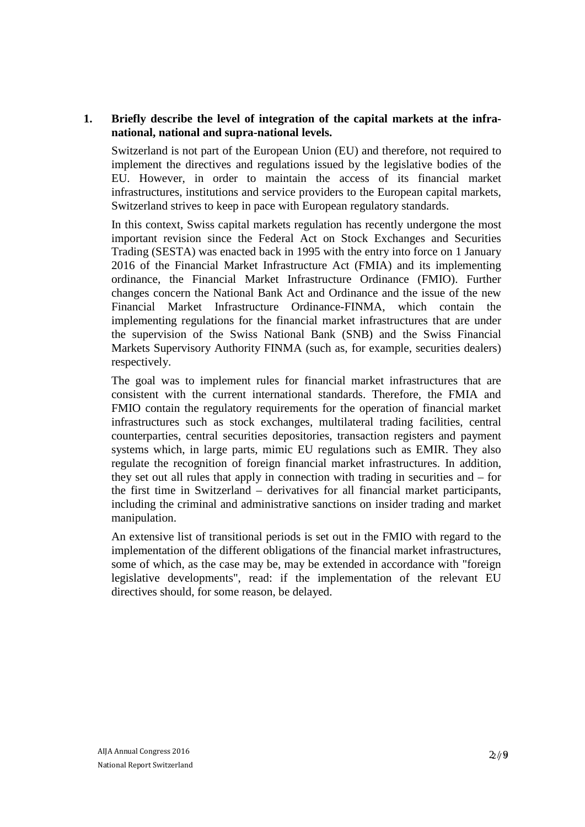### **1. Briefly describe the level of integration of the capital markets at the infranational, national and supra-national levels.**

Switzerland is not part of the European Union (EU) and therefore, not required to implement the directives and regulations issued by the legislative bodies of the EU. However, in order to maintain the access of its financial market infrastructures, institutions and service providers to the European capital markets, Switzerland strives to keep in pace with European regulatory standards.

In this context, Swiss capital markets regulation has recently undergone the most important revision since the Federal Act on Stock Exchanges and Securities Trading (SESTA) was enacted back in 1995 with the entry into force on 1 January 2016 of the Financial Market Infrastructure Act (FMIA) and its implementing ordinance, the Financial Market Infrastructure Ordinance (FMIO). Further changes concern the National Bank Act and Ordinance and the issue of the new Financial Market Infrastructure Ordinance-FINMA, which contain the implementing regulations for the financial market infrastructures that are under the supervision of the Swiss National Bank (SNB) and the Swiss Financial Markets Supervisory Authority FINMA (such as, for example, securities dealers) respectively.

The goal was to implement rules for financial market infrastructures that are consistent with the current international standards. Therefore, the FMIA and FMIO contain the regulatory requirements for the operation of financial market infrastructures such as stock exchanges, multilateral trading facilities, central counterparties, central securities depositories, transaction registers and payment systems which, in large parts, mimic EU regulations such as EMIR. They also regulate the recognition of foreign financial market infrastructures. In addition, they set out all rules that apply in connection with trading in securities and – for the first time in Switzerland – derivatives for all financial market participants, including the criminal and administrative sanctions on insider trading and market manipulation.

An extensive list of transitional periods is set out in the FMIO with regard to the implementation of the different obligations of the financial market infrastructures, some of which, as the case may be, may be extended in accordance with "foreign legislative developments", read: if the implementation of the relevant EU directives should, for some reason, be delayed.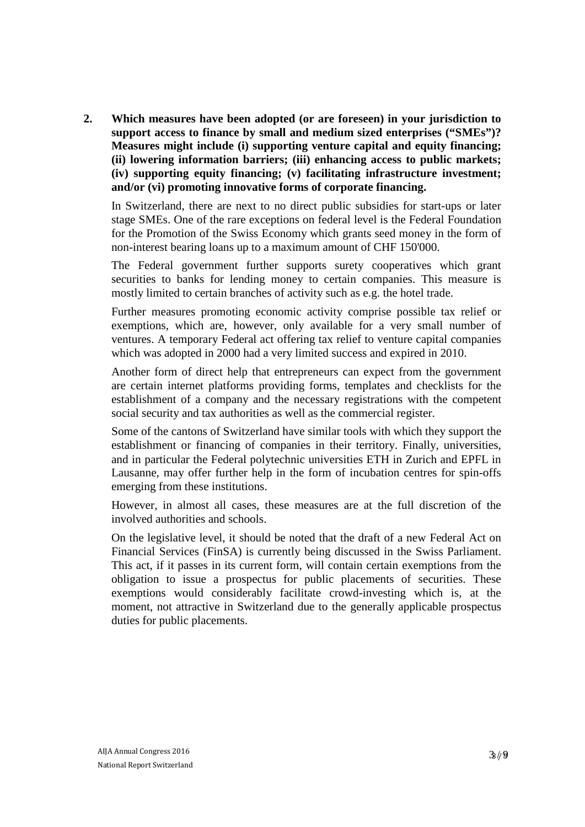**2. Which measures have been adopted (or are foreseen) in your jurisdiction to support access to finance by small and medium sized enterprises ("SMEs")? Measures might include (i) supporting venture capital and equity financing; (ii) lowering information barriers; (iii) enhancing access to public markets; (iv) supporting equity financing; (v) facilitating infrastructure investment; and/or (vi) promoting innovative forms of corporate financing.**

In Switzerland, there are next to no direct public subsidies for start-ups or later stage SMEs. One of the rare exceptions on federal level is the Federal Foundation for the Promotion of the Swiss Economy which grants seed money in the form of non-interest bearing loans up to a maximum amount of CHF 150'000.

The Federal government further supports surety cooperatives which grant securities to banks for lending money to certain companies. This measure is mostly limited to certain branches of activity such as e.g. the hotel trade.

Further measures promoting economic activity comprise possible tax relief or exemptions, which are, however, only available for a very small number of ventures. A temporary Federal act offering tax relief to venture capital companies which was adopted in 2000 had a very limited success and expired in 2010.

Another form of direct help that entrepreneurs can expect from the government are certain internet platforms providing forms, templates and checklists for the establishment of a company and the necessary registrations with the competent social security and tax authorities as well as the commercial register.

Some of the cantons of Switzerland have similar tools with which they support the establishment or financing of companies in their territory. Finally, universities, and in particular the Federal polytechnic universities ETH in Zurich and EPFL in Lausanne, may offer further help in the form of incubation centres for spin-offs emerging from these institutions.

However, in almost all cases, these measures are at the full discretion of the involved authorities and schools.

On the legislative level, it should be noted that the draft of a new Federal Act on Financial Services (FinSA) is currently being discussed in the Swiss Parliament. This act, if it passes in its current form, will contain certain exemptions from the obligation to issue a prospectus for public placements of securities. These exemptions would considerably facilitate crowd-investing which is, at the moment, not attractive in Switzerland due to the generally applicable prospectus duties for public placements.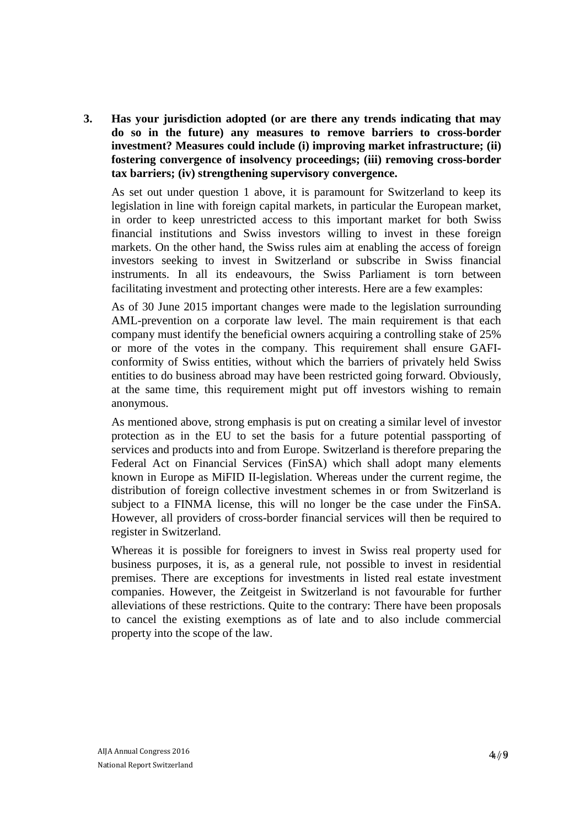**3. Has your jurisdiction adopted (or are there any trends indicating that may do so in the future) any measures to remove barriers to cross-border investment? Measures could include (i) improving market infrastructure; (ii) fostering convergence of insolvency proceedings; (iii) removing cross-border tax barriers; (iv) strengthening supervisory convergence.**

As set out under question 1 above, it is paramount for Switzerland to keep its legislation in line with foreign capital markets, in particular the European market, in order to keep unrestricted access to this important market for both Swiss financial institutions and Swiss investors willing to invest in these foreign markets. On the other hand, the Swiss rules aim at enabling the access of foreign investors seeking to invest in Switzerland or subscribe in Swiss financial instruments. In all its endeavours, the Swiss Parliament is torn between facilitating investment and protecting other interests. Here are a few examples:

As of 30 June 2015 important changes were made to the legislation surrounding AML-prevention on a corporate law level. The main requirement is that each company must identify the beneficial owners acquiring a controlling stake of 25% or more of the votes in the company. This requirement shall ensure GAFIconformity of Swiss entities, without which the barriers of privately held Swiss entities to do business abroad may have been restricted going forward. Obviously, at the same time, this requirement might put off investors wishing to remain anonymous.

As mentioned above, strong emphasis is put on creating a similar level of investor protection as in the EU to set the basis for a future potential passporting of services and products into and from Europe. Switzerland is therefore preparing the Federal Act on Financial Services (FinSA) which shall adopt many elements known in Europe as MiFID II-legislation. Whereas under the current regime, the distribution of foreign collective investment schemes in or from Switzerland is subject to a FINMA license, this will no longer be the case under the FinSA. However, all providers of cross-border financial services will then be required to register in Switzerland.

Whereas it is possible for foreigners to invest in Swiss real property used for business purposes, it is, as a general rule, not possible to invest in residential premises. There are exceptions for investments in listed real estate investment companies. However, the Zeitgeist in Switzerland is not favourable for further alleviations of these restrictions. Quite to the contrary: There have been proposals to cancel the existing exemptions as of late and to also include commercial property into the scope of the law.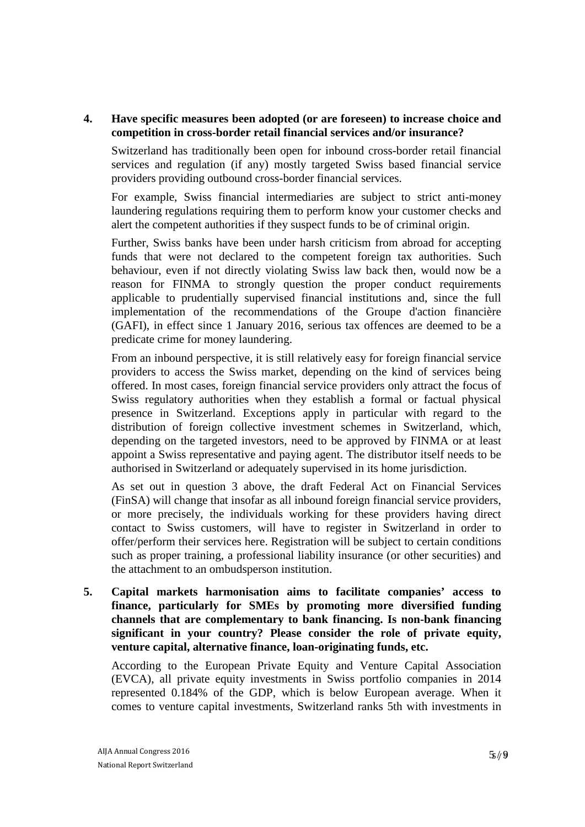### **4. Have specific measures been adopted (or are foreseen) to increase choice and competition in cross-border retail financial services and/or insurance?**

Switzerland has traditionally been open for inbound cross-border retail financial services and regulation (if any) mostly targeted Swiss based financial service providers providing outbound cross-border financial services.

For example, Swiss financial intermediaries are subject to strict anti-money laundering regulations requiring them to perform know your customer checks and alert the competent authorities if they suspect funds to be of criminal origin.

Further, Swiss banks have been under harsh criticism from abroad for accepting funds that were not declared to the competent foreign tax authorities. Such behaviour, even if not directly violating Swiss law back then, would now be a reason for FINMA to strongly question the proper conduct requirements applicable to prudentially supervised financial institutions and, since the full implementation of the recommendations of the Groupe d'action financière (GAFI), in effect since 1 January 2016, serious tax offences are deemed to be a predicate crime for money laundering.

From an inbound perspective, it is still relatively easy for foreign financial service providers to access the Swiss market, depending on the kind of services being offered. In most cases, foreign financial service providers only attract the focus of Swiss regulatory authorities when they establish a formal or factual physical presence in Switzerland. Exceptions apply in particular with regard to the distribution of foreign collective investment schemes in Switzerland, which, depending on the targeted investors, need to be approved by FINMA or at least appoint a Swiss representative and paying agent. The distributor itself needs to be authorised in Switzerland or adequately supervised in its home jurisdiction.

As set out in question 3 above, the draft Federal Act on Financial Services (FinSA) will change that insofar as all inbound foreign financial service providers, or more precisely, the individuals working for these providers having direct contact to Swiss customers, will have to register in Switzerland in order to offer/perform their services here. Registration will be subject to certain conditions such as proper training, a professional liability insurance (or other securities) and the attachment to an ombudsperson institution.

**5. Capital markets harmonisation aims to facilitate companies' access to finance, particularly for SMEs by promoting more diversified funding channels that are complementary to bank financing. Is non-bank financing significant in your country? Please consider the role of private equity, venture capital, alternative finance, loan-originating funds, etc.**

According to the European Private Equity and Venture Capital Association (EVCA), all private equity investments in Swiss portfolio companies in 2014 represented 0.184% of the GDP, which is below European average. When it comes to venture capital investments, Switzerland ranks 5th with investments in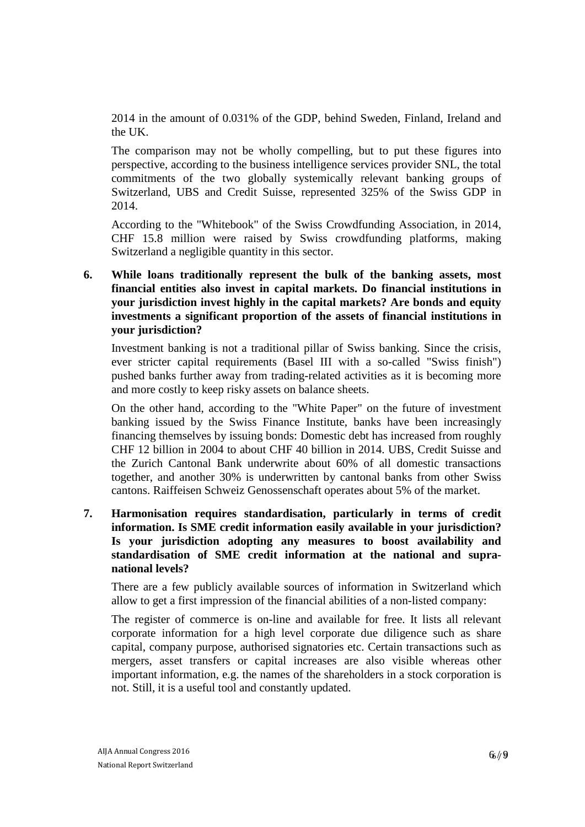2014 in the amount of 0.031% of the GDP, behind Sweden, Finland, Ireland and the UK.

The comparison may not be wholly compelling, but to put these figures into perspective, according to the business intelligence services provider SNL, the total commitments of the two globally systemically relevant banking groups of Switzerland, UBS and Credit Suisse, represented 325% of the Swiss GDP in 2014.

According to the "Whitebook" of the Swiss Crowdfunding Association, in 2014, CHF 15.8 million were raised by Swiss crowdfunding platforms, making Switzerland a negligible quantity in this sector.

**6. While loans traditionally represent the bulk of the banking assets, most financial entities also invest in capital markets. Do financial institutions in your jurisdiction invest highly in the capital markets? Are bonds and equity investments a significant proportion of the assets of financial institutions in your jurisdiction?**

Investment banking is not a traditional pillar of Swiss banking. Since the crisis, ever stricter capital requirements (Basel III with a so-called "Swiss finish") pushed banks further away from trading-related activities as it is becoming more and more costly to keep risky assets on balance sheets.

On the other hand, according to the "White Paper" on the future of investment banking issued by the Swiss Finance Institute, banks have been increasingly financing themselves by issuing bonds: Domestic debt has increased from roughly CHF 12 billion in 2004 to about CHF 40 billion in 2014. UBS, Credit Suisse and the Zurich Cantonal Bank underwrite about 60% of all domestic transactions together, and another 30% is underwritten by cantonal banks from other Swiss cantons. Raiffeisen Schweiz Genossenschaft operates about 5% of the market.

**7. Harmonisation requires standardisation, particularly in terms of credit information. Is SME credit information easily available in your jurisdiction? Is your jurisdiction adopting any measures to boost availability and standardisation of SME credit information at the national and supranational levels?**

There are a few publicly available sources of information in Switzerland which allow to get a first impression of the financial abilities of a non-listed company:

The register of commerce is on-line and available for free. It lists all relevant corporate information for a high level corporate due diligence such as share capital, company purpose, authorised signatories etc. Certain transactions such as mergers, asset transfers or capital increases are also visible whereas other important information, e.g. the names of the shareholders in a stock corporation is not. Still, it is a useful tool and constantly updated.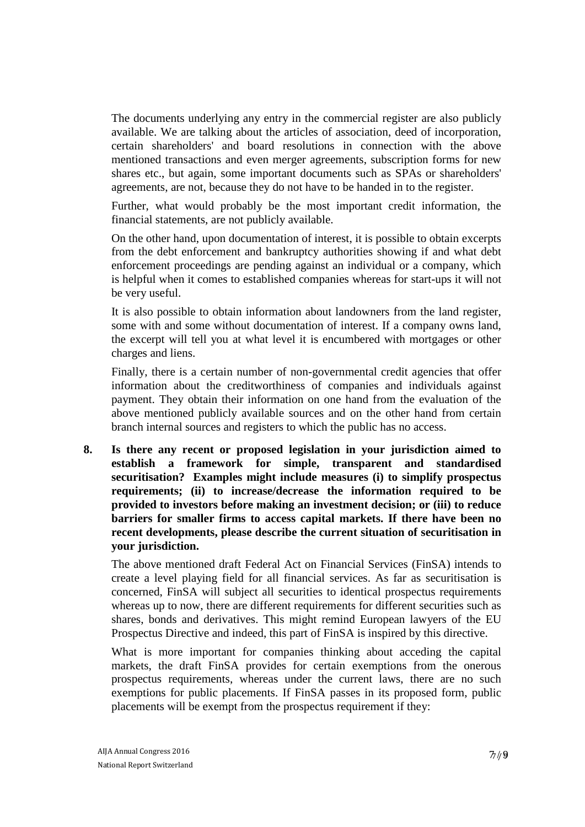The documents underlying any entry in the commercial register are also publicly available. We are talking about the articles of association, deed of incorporation, certain shareholders' and board resolutions in connection with the above mentioned transactions and even merger agreements, subscription forms for new shares etc., but again, some important documents such as SPAs or shareholders' agreements, are not, because they do not have to be handed in to the register.

Further, what would probably be the most important credit information, the financial statements, are not publicly available.

On the other hand, upon documentation of interest, it is possible to obtain excerpts from the debt enforcement and bankruptcy authorities showing if and what debt enforcement proceedings are pending against an individual or a company, which is helpful when it comes to established companies whereas for start-ups it will not be very useful.

It is also possible to obtain information about landowners from the land register, some with and some without documentation of interest. If a company owns land, the excerpt will tell you at what level it is encumbered with mortgages or other charges and liens.

Finally, there is a certain number of non-governmental credit agencies that offer information about the creditworthiness of companies and individuals against payment. They obtain their information on one hand from the evaluation of the above mentioned publicly available sources and on the other hand from certain branch internal sources and registers to which the public has no access.

**8. Is there any recent or proposed legislation in your jurisdiction aimed to establish a framework for simple, transparent and standardised securitisation? Examples might include measures (i) to simplify prospectus requirements; (ii) to increase/decrease the information required to be provided to investors before making an investment decision; or (iii) to reduce barriers for smaller firms to access capital markets. If there have been no recent developments, please describe the current situation of securitisation in your jurisdiction.**

The above mentioned draft Federal Act on Financial Services (FinSA) intends to create a level playing field for all financial services. As far as securitisation is concerned, FinSA will subject all securities to identical prospectus requirements whereas up to now, there are different requirements for different securities such as shares, bonds and derivatives. This might remind European lawyers of the EU Prospectus Directive and indeed, this part of FinSA is inspired by this directive.

What is more important for companies thinking about acceding the capital markets, the draft FinSA provides for certain exemptions from the onerous prospectus requirements, whereas under the current laws, there are no such exemptions for public placements. If FinSA passes in its proposed form, public placements will be exempt from the prospectus requirement if they: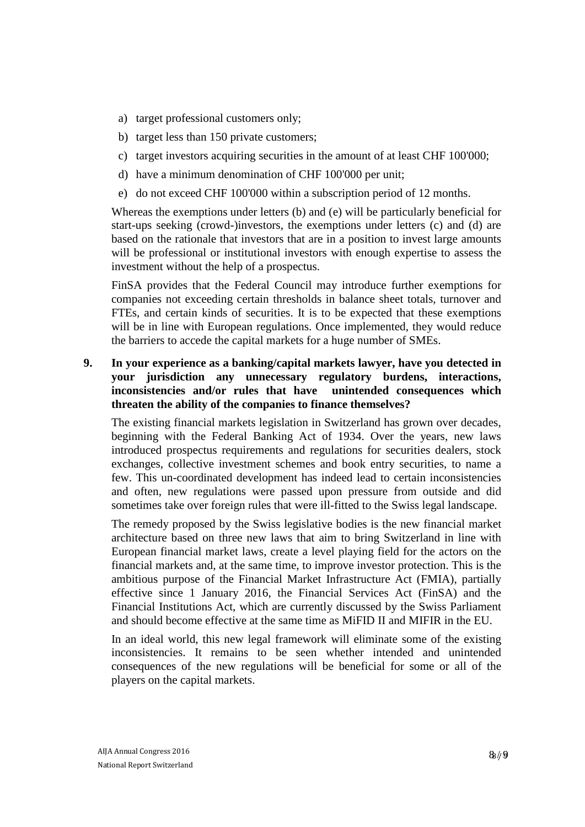- a) target professional customers only;
- b) target less than 150 private customers;
- c) target investors acquiring securities in the amount of at least CHF 100'000;
- d) have a minimum denomination of CHF 100'000 per unit;
- e) do not exceed CHF 100'000 within a subscription period of 12 months.

Whereas the exemptions under letters (b) and (e) will be particularly beneficial for start-ups seeking (crowd-)investors, the exemptions under letters (c) and (d) are based on the rationale that investors that are in a position to invest large amounts will be professional or institutional investors with enough expertise to assess the investment without the help of a prospectus.

FinSA provides that the Federal Council may introduce further exemptions for companies not exceeding certain thresholds in balance sheet totals, turnover and FTEs, and certain kinds of securities. It is to be expected that these exemptions will be in line with European regulations. Once implemented, they would reduce the barriers to accede the capital markets for a huge number of SMEs.

### **9. In your experience as a banking/capital markets lawyer, have you detected in your jurisdiction any unnecessary regulatory burdens, interactions, inconsistencies and/or rules that have unintended consequences which threaten the ability of the companies to finance themselves?**

The existing financial markets legislation in Switzerland has grown over decades, beginning with the Federal Banking Act of 1934. Over the years, new laws introduced prospectus requirements and regulations for securities dealers, stock exchanges, collective investment schemes and book entry securities, to name a few. This un-coordinated development has indeed lead to certain inconsistencies and often, new regulations were passed upon pressure from outside and did sometimes take over foreign rules that were ill-fitted to the Swiss legal landscape.

The remedy proposed by the Swiss legislative bodies is the new financial market architecture based on three new laws that aim to bring Switzerland in line with European financial market laws, create a level playing field for the actors on the financial markets and, at the same time, to improve investor protection. This is the ambitious purpose of the Financial Market Infrastructure Act (FMIA), partially effective since 1 January 2016, the Financial Services Act (FinSA) and the Financial Institutions Act, which are currently discussed by the Swiss Parliament and should become effective at the same time as MiFID II and MIFIR in the EU.

In an ideal world, this new legal framework will eliminate some of the existing inconsistencies. It remains to be seen whether intended and unintended consequences of the new regulations will be beneficial for some or all of the players on the capital markets.